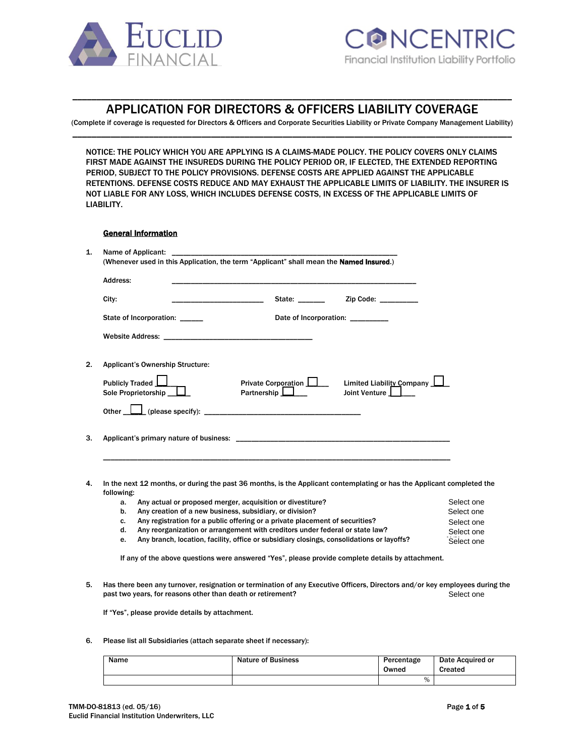

# \_\_\_\_\_\_\_\_\_\_\_\_\_\_\_\_\_\_\_\_\_\_\_\_\_\_\_\_\_\_\_\_\_\_\_\_\_\_\_\_\_\_\_\_\_\_\_\_\_\_\_\_\_\_\_\_\_\_\_\_\_\_\_\_\_\_\_\_\_\_\_\_\_\_\_\_\_\_\_\_\_\_\_\_\_\_\_\_\_\_\_\_ APPLICATION FOR DIRECTORS & OFFICERS LIABILITY COVERAGE

(Complete if coverage is requested for Directors & Officers and Corporate Securities Liability or Private Company Management Liability) \_\_\_\_\_\_\_\_\_\_\_\_\_\_\_\_\_\_\_\_\_\_\_\_\_\_\_\_\_\_\_\_\_\_\_\_\_\_\_\_\_\_\_\_\_\_\_\_\_\_\_\_\_\_\_\_\_\_\_\_\_\_\_\_\_\_\_\_\_\_\_\_\_\_\_\_\_\_\_\_\_\_\_\_\_\_\_\_\_\_\_\_

NOTICE: THE POLICY WHICH YOU ARE APPLYING IS A CLAIMS-MADE POLICY. THE POLICY COVERS ONLY CLAIMS FIRST MADE AGAINST THE INSUREDS DURING THE POLICY PERIOD OR, IF ELECTED, THE EXTENDED REPORTING PERIOD, SUBJECT TO THE POLICY PROVISIONS. DEFENSE COSTS ARE APPLIED AGAINST THE APPLICABLE RETENTIONS. DEFENSE COSTS REDUCE AND MAY EXHAUST THE APPLICABLE LIMITS OF LIABILITY. THE INSURER IS NOT LIABLE FOR ANY LOSS, WHICH INCLUDES DEFENSE COSTS, IN EXCESS OF THE APPLICABLE LIMITS OF LIABILITY.

# General Information

| Address:   |                                                                           |                                                            |                                                                                                                                                                                                                               |
|------------|---------------------------------------------------------------------------|------------------------------------------------------------|-------------------------------------------------------------------------------------------------------------------------------------------------------------------------------------------------------------------------------|
| City:      |                                                                           |                                                            | State: _________ Zip Code: _________                                                                                                                                                                                          |
|            | State of Incorporation: ______                                            |                                                            | Date of Incorporation: _________                                                                                                                                                                                              |
|            |                                                                           |                                                            |                                                                                                                                                                                                                               |
|            | <b>Applicant's Ownership Structure:</b>                                   |                                                            |                                                                                                                                                                                                                               |
|            | Publicly Traded $\boxed{\underline{\qquad}}$<br>Sole Proprietorship __ L_ |                                                            | Private Corporation <b>D</b> Limited Liability Company <b>L</b><br>Joint Venture                                                                                                                                              |
|            |                                                                           |                                                            |                                                                                                                                                                                                                               |
|            |                                                                           |                                                            | Applicant's primary nature of business: Applicant of the state of the state of the state of the state of the state of the state of the state of the state of the state of the state of the state of the state of the state of |
|            |                                                                           |                                                            |                                                                                                                                                                                                                               |
| following: |                                                                           |                                                            | In the next 12 months, or during the past 36 months, is the Applicant contemplating or has the Applicant completed the                                                                                                        |
| a.         |                                                                           | Any actual or proposed merger, acquisition or divestiture? | Select one                                                                                                                                                                                                                    |
| b.         | Any creation of a new business, subsidiary, or division?                  |                                                            | Select one                                                                                                                                                                                                                    |

- c. Any registration for a public offering or a private placement of securities? Select one
- d. Any reorganization or arrangement with creditors under federal or state law? Select one Select one

e. Any branch, location, facility, office or subsidiary closings, consolidations or layoffs?

If any of the above questions were answered "Yes", please provide complete details by attachment.

5. Has there been any turnover, resignation or termination of any Executive Officers, Directors and/or key employees during the past two years, for reasons other than death or retirement? Select one

If "Yes", please provide details by attachment.

6. Please list all Subsidiaries (attach separate sheet if necessary):

| Name | <b>Nature of Business</b> | Percentage<br>Owned | Date Acquired or<br>Created |
|------|---------------------------|---------------------|-----------------------------|
|      |                           | $\%$                |                             |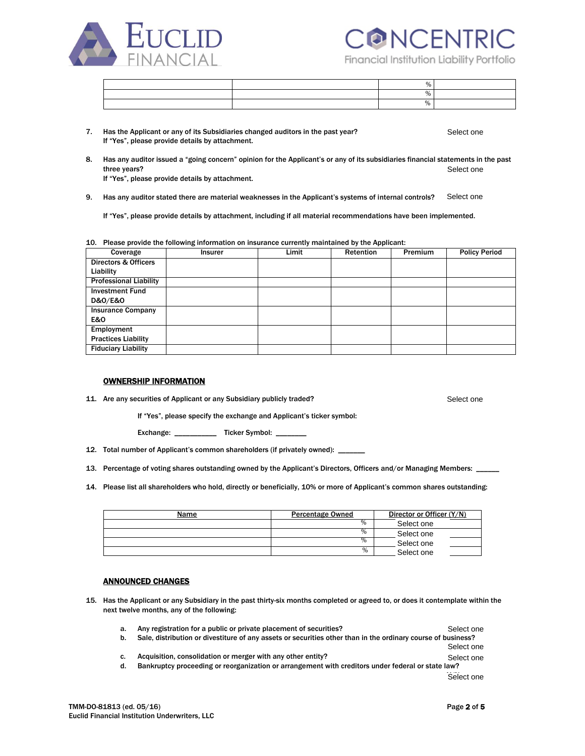



Financial Institution Liability Portfolio

|  | $\Omega$ |  |
|--|----------|--|

- 7. Has the Applicant or any of its Subsidiaries changed auditors in the past year? If "Yes", please provide details by attachment. Select one
- 8. Has any auditor issued a "going concern" opinion for the Applicant's or any of its subsidiaries financial statements in the past three years? If "Yes", please provide details by attachment. Select one

9. Has any auditor stated there are material weaknesses in the Applicant's systems of internal controls? Select one

If "Yes", please provide details by attachment, including if all material recommendations have been implemented.

10. Please provide the following information on insurance currently maintained by the Applicant:

| Coverage                        | <b>Insurer</b> | Limit | Retention | <b>Premium</b> | <b>Policy Period</b> |
|---------------------------------|----------------|-------|-----------|----------------|----------------------|
| <b>Directors &amp; Officers</b> |                |       |           |                |                      |
| Liability                       |                |       |           |                |                      |
| <b>Professional Liability</b>   |                |       |           |                |                      |
| <b>Investment Fund</b>          |                |       |           |                |                      |
| D&0/E&0                         |                |       |           |                |                      |
| <b>Insurance Company</b>        |                |       |           |                |                      |
| <b>E&amp;O</b>                  |                |       |           |                |                      |
| Employment                      |                |       |           |                |                      |
| <b>Practices Liability</b>      |                |       |           |                |                      |
| <b>Fiduciary Liability</b>      |                |       |           |                |                      |

## OWNERSHIP INFORMATION

11. Are any securities of Applicant or any Subsidiary publicly traded?

Select one

If "Yes", please specify the exchange and Applicant's ticker symbol:

Exchange: \_\_\_\_\_\_\_\_\_\_\_\_\_\_\_ Ticker Symbol: \_\_\_

12. Total number of Applicant's common shareholders (if privately owned): \_\_\_\_\_\_\_

13. Percentage of voting shares outstanding owned by the Applicant's Directors, Officers and/or Managing Members: \_\_\_\_\_

14. Please list all shareholders who hold, directly or beneficially, 10% or more of Applicant's common shares outstanding:

| Name | Percentage Owned | Director or Officer (Y/N) |
|------|------------------|---------------------------|
|      | %                | Select one                |
|      | %                | Select one                |
|      | $\%$             | Select one                |
|      | $\frac{9}{6}$    | Select one                |

### ANNOUNCED CHANGES

15. Has the Applicant or any Subsidiary in the past thirty-six months completed or agreed to, or does it contemplate within the next twelve months, any of the following:

| а. | Any registration for a public or private placement of securities?                                            | Select one |
|----|--------------------------------------------------------------------------------------------------------------|------------|
|    | Sale, distribution or divestiture of any assets or securities other than in the ordinary course of business? |            |
|    |                                                                                                              | Select one |
|    | Acquisition, consolidation or merger with any other entity?                                                  | Select one |

d. Bankruptcy proceeding or reorganization or arrangement with creditors under federal or state law?

Select one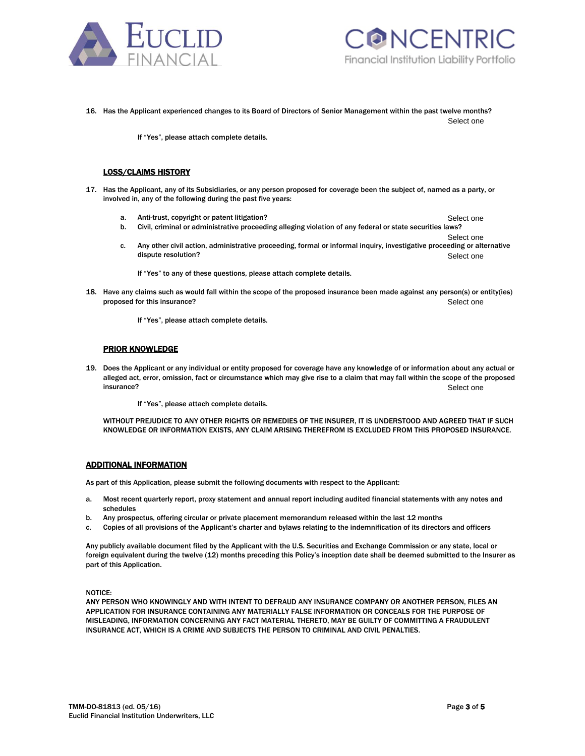



Select one

16. Has the Applicant experienced changes to its Board of Directors of Senior Management within the past twelve months? Select one

If "Yes", please attach complete details.

## LOSS/CLAIMS HISTORY

- 17. Has the Applicant, any of its Subsidiaries, or any person proposed for coverage been the subject of, named as a party, or involved in, any of the following during the past five years:
	- a. Anti-trust, copyright or patent litigation?
	- b. Civil, criminal or administrative proceeding alleging violation of any federal or state securities laws?
	- Select one c. Any other civil action, administrative proceeding, formal or informal inquiry, investigative proceeding or alternative dispute resolution? Select one

If "Yes" to any of these questions, please attach complete details.

18. Have any claims such as would fall within the scope of the proposed insurance been made against any person(s) or entity(ies) proposed for this insurance? Select one

If "Yes", please attach complete details.

## PRIOR KNOWLEDGE

19. Does the Applicant or any individual or entity proposed for coverage have any knowledge of or information about any actual or alleged act, error, omission, fact or circumstance which may give rise to a claim that may fall within the scope of the proposed insurance? Sell Select one

If "Yes", please attach complete details.

WITHOUT PREJUDICE TO ANY OTHER RIGHTS OR REMEDIES OF THE INSURER, IT IS UNDERSTOOD AND AGREED THAT IF SUCH KNOWLEDGE OR INFORMATION EXISTS, ANY CLAIM ARISING THEREFROM IS EXCLUDED FROM THIS PROPOSED INSURANCE.

### ADDITIONAL INFORMATION

As part of this Application, please submit the following documents with respect to the Applicant:

- a. Most recent quarterly report, proxy statement and annual report including audited financial statements with any notes and schedules
- b. Any prospectus, offering circular or private placement memorandum released within the last 12 months
- c. Copies of all provisions of the Applicant's charter and bylaws relating to the indemnification of its directors and officers

Any publicly available document filed by the Applicant with the U.S. Securities and Exchange Commission or any state, local or foreign equivalent during the twelve (12) months preceding this Policy's inception date shall be deemed submitted to the Insurer as part of this Application.

NOTICE:

ANY PERSON WHO KNOWINGLY AND WITH INTENT TO DEFRAUD ANY INSURANCE COMPANY OR ANOTHER PERSON, FILES AN APPLICATION FOR INSURANCE CONTAINING ANY MATERIALLY FALSE INFORMATION OR CONCEALS FOR THE PURPOSE OF MISLEADING, INFORMATION CONCERNING ANY FACT MATERIAL THERETO, MAY BE GUILTY OF COMMITTING A FRAUDULENT INSURANCE ACT, WHICH IS A CRIME AND SUBJECTS THE PERSON TO CRIMINAL AND CIVIL PENALTIES.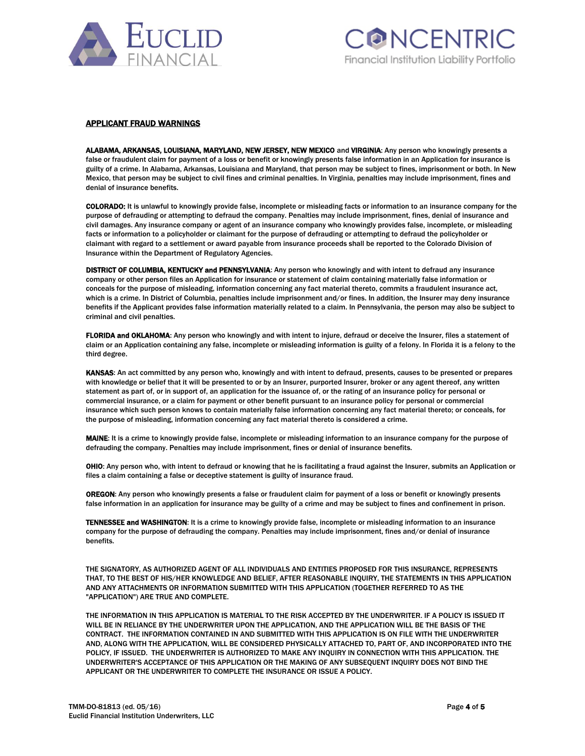



### APPLICANT FRAUD WARNINGS

ALABAMA, ARKANSAS, LOUISIANA, MARYLAND, NEW JERSEY, NEW MEXICO and VIRGINIA: Any person who knowingly presents a false or fraudulent claim for payment of a loss or benefit or knowingly presents false information in an Application for insurance is guilty of a crime. In Alabama, Arkansas, Louisiana and Maryland, that person may be subject to fines, imprisonment or both. In New Mexico, that person may be subject to civil fines and criminal penalties. In Virginia, penalties may include imprisonment, fines and denial of insurance benefits.

COLORADO: It is unlawful to knowingly provide false, incomplete or misleading facts or information to an insurance company for the purpose of defrauding or attempting to defraud the company. Penalties may include imprisonment, fines, denial of insurance and civil damages. Any insurance company or agent of an insurance company who knowingly provides false, incomplete, or misleading facts or information to a policyholder or claimant for the purpose of defrauding or attempting to defraud the policyholder or claimant with regard to a settlement or award payable from insurance proceeds shall be reported to the Colorado Division of Insurance within the Department of Regulatory Agencies.

DISTRICT OF COLUMBIA, KENTUCKY and PENNSYLVANIA: Any person who knowingly and with intent to defraud any insurance company or other person files an Application for insurance or statement of claim containing materially false information or conceals for the purpose of misleading, information concerning any fact material thereto, commits a fraudulent insurance act, which is a crime. In District of Columbia, penalties include imprisonment and/or fines. In addition, the Insurer may deny insurance benefits if the Applicant provides false information materially related to a claim. In Pennsylvania, the person may also be subject to criminal and civil penalties.

FLORIDA and OKLAHOMA: Any person who knowingly and with intent to injure, defraud or deceive the Insurer, files a statement of claim or an Application containing any false, incomplete or misleading information is guilty of a felony. In Florida it is a felony to the third degree.

KANSAS: An act committed by any person who, knowingly and with intent to defraud, presents, causes to be presented or prepares with knowledge or belief that it will be presented to or by an Insurer, purported Insurer, broker or any agent thereof, any written statement as part of, or in support of, an application for the issuance of, or the rating of an insurance policy for personal or commercial insurance, or a claim for payment or other benefit pursuant to an insurance policy for personal or commercial insurance which such person knows to contain materially false information concerning any fact material thereto; or conceals, for the purpose of misleading, information concerning any fact material thereto is considered a crime.

MAINE: It is a crime to knowingly provide false, incomplete or misleading information to an insurance company for the purpose of defrauding the company. Penalties may include imprisonment, fines or denial of insurance benefits.

OHIO: Any person who, with intent to defraud or knowing that he is facilitating a fraud against the Insurer, submits an Application or files a claim containing a false or deceptive statement is guilty of insurance fraud.

OREGON: Any person who knowingly presents a false or fraudulent claim for payment of a loss or benefit or knowingly presents false information in an application for insurance may be guilty of a crime and may be subject to fines and confinement in prison.

TENNESSEE and WASHINGTON: It is a crime to knowingly provide false, incomplete or misleading information to an insurance company for the purpose of defrauding the company. Penalties may include imprisonment, fines and/or denial of insurance benefits.

THE SIGNATORY, AS AUTHORIZED AGENT OF ALL INDIVIDUALS AND ENTITIES PROPOSED FOR THIS INSURANCE, REPRESENTS THAT, TO THE BEST OF HIS/HER KNOWLEDGE AND BELIEF, AFTER REASONABLE INQUIRY, THE STATEMENTS IN THIS APPLICATION AND ANY ATTACHMENTS OR INFORMATION SUBMITTED WITH THIS APPLICATION (TOGETHER REFERRED TO AS THE "APPLICATION") ARE TRUE AND COMPLETE.

THE INFORMATION IN THIS APPLICATION IS MATERIAL TO THE RISK ACCEPTED BY THE UNDERWRITER. IF A POLICY IS ISSUED IT WILL BE IN RELIANCE BY THE UNDERWRITER UPON THE APPLICATION, AND THE APPLICATION WILL BE THE BASIS OF THE CONTRACT. THE INFORMATION CONTAINED IN AND SUBMITTED WITH THIS APPLICATION IS ON FILE WITH THE UNDERWRITER AND, ALONG WITH THE APPLICATION, WILL BE CONSIDERED PHYSICALLY ATTACHED TO, PART OF, AND INCORPORATED INTO THE POLICY, IF ISSUED. THE UNDERWRITER IS AUTHORIZED TO MAKE ANY INQUIRY IN CONNECTION WITH THIS APPLICATION. THE UNDERWRITER'S ACCEPTANCE OF THIS APPLICATION OR THE MAKING OF ANY SUBSEQUENT INQUIRY DOES NOT BIND THE APPLICANT OR THE UNDERWRITER TO COMPLETE THE INSURANCE OR ISSUE A POLICY.